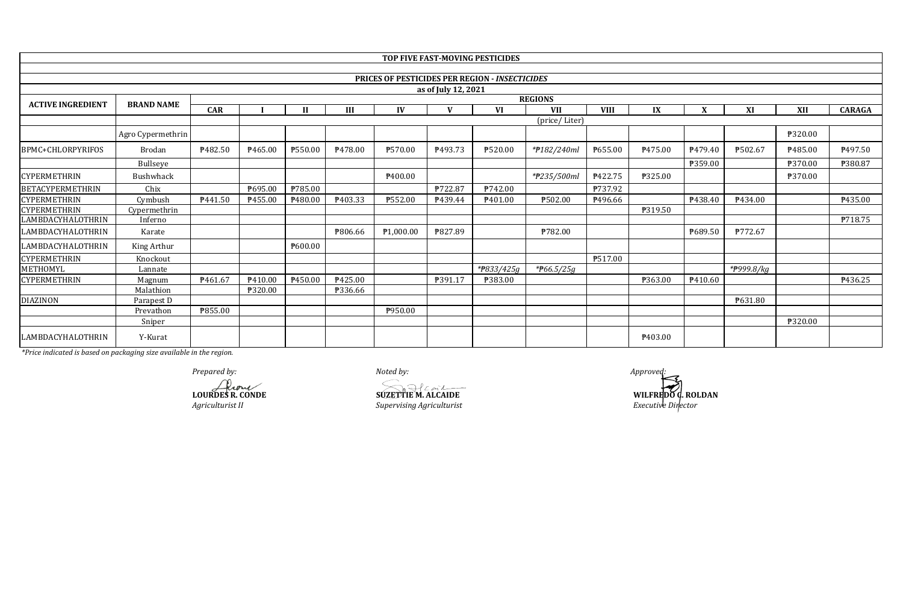|                          |                   |                |                                |         |         |                     |                     | TOP FIVE FAST-MOVING PESTICIDES                       |               |             |         |         |            |         |                     |
|--------------------------|-------------------|----------------|--------------------------------|---------|---------|---------------------|---------------------|-------------------------------------------------------|---------------|-------------|---------|---------|------------|---------|---------------------|
|                          |                   |                |                                |         |         |                     |                     |                                                       |               |             |         |         |            |         |                     |
|                          |                   |                |                                |         |         |                     |                     | <b>PRICES OF PESTICIDES PER REGION - INSECTICIDES</b> |               |             |         |         |            |         |                     |
|                          |                   |                |                                |         |         |                     | as of July 12, 2021 |                                                       |               |             |         |         |            |         |                     |
| <b>ACTIVE INGREDIENT</b> | <b>BRAND NAME</b> |                | <b>REGIONS</b><br>$\mathbf{v}$ |         |         |                     |                     |                                                       |               |             |         |         |            |         |                     |
|                          |                   | <b>CAR</b>     |                                | Н       | III     | IV                  |                     | VI                                                    | <b>VII</b>    | <b>VIII</b> | IX      |         | XI         | XII     | <b>CARAGA</b>       |
|                          |                   |                |                                |         |         |                     |                     |                                                       | (price/Liter) |             |         |         |            |         |                     |
|                          | Agro Cypermethrin |                |                                |         |         |                     |                     |                                                       |               |             |         |         |            | ₱320.00 |                     |
| BPMC+CHLORPYRIFOS        | Brodan            | P482.50        | P465.00                        | ₱550.00 | ₹478.00 | P570.00             | ₹493.73             | ₱520.00                                               | *#182/240ml   | ₱655.00     | P475.00 | P479.40 | ₱502.67    | P485.00 | P <sub>497.50</sub> |
|                          | <b>Bullseve</b>   |                |                                |         |         |                     |                     |                                                       |               |             |         | ₱359.00 |            | ₱370.00 | ₱380.87             |
| <b>CYPERMETHRIN</b>      | <b>Bushwhack</b>  |                |                                |         |         | P <sub>400.00</sub> |                     |                                                       | *#235/500ml   | P422.75     | ₱325.00 |         |            | ₹370.00 |                     |
| <b>BETACYPERMETHRIN</b>  | Chix              |                | ₱695.00                        | ₱785.00 |         |                     | ₱722.87             | ₱742.00                                               |               | P737.92     |         |         |            |         |                     |
| <b>CYPERMETHRIN</b>      | Cymbush           | P441.50        | P455.00                        | P480.00 | ₱403.33 | ₹552.00             | P439.44             | ₱401.00                                               | ₱502.00       | ₹496.66     |         | P438.40 | P434.00    |         | P435.00             |
| <b>CYPERMETHRIN</b>      | Cypermethrin      |                |                                |         |         |                     |                     |                                                       |               |             | ₱319.50 |         |            |         |                     |
| LAMBDACYHALOTHRIN        | Inferno           |                |                                |         |         |                     |                     |                                                       |               |             |         |         |            |         | P718.75             |
| LAMBDACYHALOTHRIN        | Karate            |                |                                |         | ₱806.66 | P1,000.00           | ₱827.89             |                                                       | ₱782.00       |             |         | P689.50 | ₱772.67    |         |                     |
| LAMBDACYHALOTHRIN        | King Arthur       |                |                                | P600.00 |         |                     |                     |                                                       |               |             |         |         |            |         |                     |
| <b>CYPERMETHRIN</b>      | Knockout          |                |                                |         |         |                     |                     |                                                       |               | ₱517.00     |         |         |            |         |                     |
| METHOMYL                 | Lannate           |                |                                |         |         |                     |                     | *#833/425g                                            | * $F66.5/25g$ |             |         |         | *#999.8/kg |         |                     |
| <b>CYPERMETHRIN</b>      | Magnum            | P461.67        | ₱410.00                        | P450.00 | P425.00 |                     | ₱391.17             | ₱383.00                                               |               |             | ₱363.00 | ₱410.60 |            |         | P436.25             |
|                          | Malathion         |                | ₱320.00                        |         | ₹336.66 |                     |                     |                                                       |               |             |         |         |            |         |                     |
| <b>DIAZINON</b>          | Parapest D        |                |                                |         |         |                     |                     |                                                       |               |             |         |         | P631.80    |         |                     |
|                          | Prevathon         | <b>P855.00</b> |                                |         |         | P950.00             |                     |                                                       |               |             |         |         |            |         |                     |
|                          | Sniper            |                |                                |         |         |                     |                     |                                                       |               |             |         |         |            | ₱320.00 |                     |
| LAMBDACYHALOTHRIN        | Y-Kurat           |                |                                |         |         |                     |                     |                                                       |               |             | P403.00 |         |            |         |                     |

*Prepared by: Noted by: Approved:*

**LOURDES R. CONDE**<br> **LOURDES R. CONDE**<br> *Agriculturist II*<br> *Supervising Agriculturist* 

*Agriculturist II Supervising Agriculturist*

**WILFREDO C. ROLDAN** *Executive Director*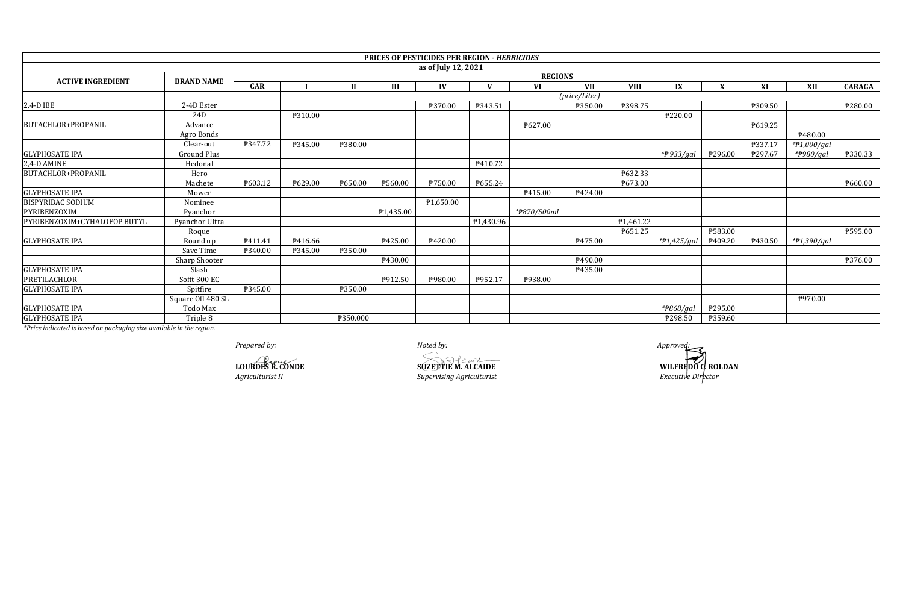|                              |                    |                |                |          |           | <b>PRICES OF PESTICIDES PER REGION - HERBICIDES</b> |           |             |               |             |                        |         |         |               |                |
|------------------------------|--------------------|----------------|----------------|----------|-----------|-----------------------------------------------------|-----------|-------------|---------------|-------------|------------------------|---------|---------|---------------|----------------|
|                              |                    |                |                |          |           | as of July 12, 2021                                 |           |             |               |             |                        |         |         |               |                |
| <b>ACTIVE INGREDIENT</b>     | <b>BRAND NAME</b>  | <b>REGIONS</b> |                |          |           |                                                     |           |             |               |             |                        |         |         |               |                |
|                              |                    | <b>CAR</b>     |                |          | Ш         | IV                                                  |           | <b>VI</b>   | <b>VII</b>    | <b>VIII</b> | IX                     |         | XI      | XII           | <b>CARAGA</b>  |
|                              |                    |                |                |          |           |                                                     |           |             | (price/Liter) |             |                        |         |         |               |                |
| 2,4-D IBE                    | 2-4D Ester         |                |                |          |           | ₱370.00                                             | P343.51   |             | P350.00       | ₱398.75     |                        |         | ₱309.50 |               | P280.00        |
|                              | 24D                |                | <b>P310.00</b> |          |           |                                                     |           |             |               |             | P220.00                |         |         |               |                |
| <b>BUTACHLOR+PROPANIL</b>    | Advance            |                |                |          |           |                                                     |           | ₱627.00     |               |             |                        |         | P619.25 |               |                |
|                              | Agro Bonds         |                |                |          |           |                                                     |           |             |               |             |                        |         |         | P480.00       |                |
|                              | Clear-out          | <b>P347.72</b> | P345.00        | ₱380.00  |           |                                                     |           |             |               |             |                        |         | ₱337.17 | $*P1,000/gal$ |                |
| <b>GLYPHOSATE IPA</b>        | <b>Ground Plus</b> |                |                |          |           |                                                     |           |             |               |             | *#933/gal              | P296.00 | P297.67 | *P980/gal     | <b>P330.33</b> |
| 2,4-D AMINE                  | Hedonal            |                |                |          |           |                                                     | P410.72   |             |               |             |                        |         |         |               |                |
| BUTACHLOR+PROPANIL           | Hero               |                |                |          |           |                                                     |           |             |               | ₱632.33     |                        |         |         |               |                |
|                              | Machete            | P603.12        | ₱629.00        | P650.00  | ₱560.00   | <b>P750.00</b>                                      | P655.24   |             |               | P673.00     |                        |         |         |               | P660.00        |
| <b>GLYPHOSATE IPA</b>        | Mower              |                |                |          |           |                                                     |           | P415.00     | P424.00       |             |                        |         |         |               |                |
| <b>BISPYRIBAC SODIUM</b>     | Nominee            |                |                |          |           | P <sub>1,650.00</sub>                               |           |             |               |             |                        |         |         |               |                |
| PYRIBENZOXIM                 | Pvanchor           |                |                |          | P1,435.00 |                                                     |           | *#870/500ml |               |             |                        |         |         |               |                |
| PYRIBENZOXIM+CYHALOFOP BUTYL | Pyanchor Ultra     |                |                |          |           |                                                     | ₱1,430.96 |             |               | P1,461.22   |                        |         |         |               |                |
|                              | Roque              |                |                |          |           |                                                     |           |             |               | P651.25     |                        | P583.00 |         |               | P595.00        |
| <b>GLYPHOSATE IPA</b>        | Round up           | P411.41        | ₹416.66        |          | P425.00   | P420.00                                             |           |             | P475.00       |             | *P1,425/gal            | ₱409.20 | P430.50 | *#1,390/gal   |                |
|                              | Save Time          | P340.00        | ₱345.00        | P350.00  |           |                                                     |           |             |               |             |                        |         |         |               |                |
|                              | Sharp Shooter      |                |                |          | P430.00   |                                                     |           |             | P490.00       |             |                        |         |         |               | <b>P376.00</b> |
| <b>GLYPHOSATE IPA</b>        | Slash              |                |                |          |           |                                                     |           |             | ₱435.00       |             |                        |         |         |               |                |
| PRETILACHLOR                 | Sofit 300 EC       |                |                |          | P912.50   | P980.00                                             | P952.17   | P938.00     |               |             |                        |         |         |               |                |
| <b>GLYPHOSATE IPA</b>        | Spitfire           | <b>P345.00</b> |                | ₱350.00  |           |                                                     |           |             |               |             |                        |         |         |               |                |
|                              | Square Off 480 SL  |                |                |          |           |                                                     |           |             |               |             |                        |         |         | P970.00       |                |
| <b>GLYPHOSATE IPA</b>        | Todo Max           |                |                |          |           |                                                     |           |             |               |             | * <del>P</del> 868/gal | ₱295.00 |         |               |                |
| <b>GLYPHOSATE IPA</b>        | Triple 8           |                |                | ₱350.000 |           |                                                     |           |             |               |             | P298.50                | P359.60 |         |               |                |

*Prepared by: Noted by: Approved:*

*Agriculturist II Bure Compared 20 and 20 are supervising Agriculturist* **LOURDES R. CONDE SUZETTIE M. ALCAIDE**

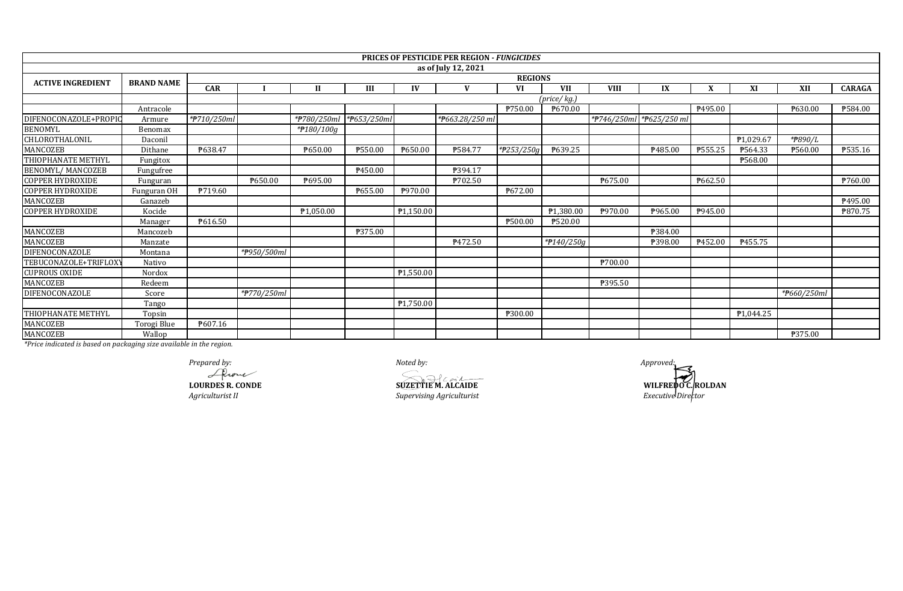|                          |                   |             |                |                          |             |                        | <b>PRICES OF PESTICIDE PER REGION - FUNGICIDES</b> |            |                           |             |                          |                |                |                |               |  |
|--------------------------|-------------------|-------------|----------------|--------------------------|-------------|------------------------|----------------------------------------------------|------------|---------------------------|-------------|--------------------------|----------------|----------------|----------------|---------------|--|
|                          |                   |             |                |                          |             |                        | as of July 12, 2021                                |            |                           |             |                          |                |                |                |               |  |
| <b>ACTIVE INGREDIENT</b> | <b>BRAND NAME</b> |             | <b>REGIONS</b> |                          |             |                        |                                                    |            |                           |             |                          |                |                |                |               |  |
|                          |                   | <b>CAR</b>  |                | $\mathbf{I}$             | III         | IV                     | $\mathbf{V}$                                       | <b>VI</b>  | <b>VII</b>                | <b>VIII</b> | IX                       | X              | XI             | XII            | <b>CARAGA</b> |  |
|                          |                   |             |                |                          |             |                        |                                                    |            | (price/kg.)               |             |                          |                |                |                |               |  |
|                          | Antracole         |             |                |                          |             |                        |                                                    | ₱750.00    | ₱670.00                   |             |                          | P495.00        |                | ₱630.00        | ₱584.00       |  |
| DIFENOCONAZOLE+PROPIC    | Armure            | *#710/250ml |                | *#780/250ml              | *#653/250ml |                        | *P663.28/250 ml                                    |            |                           |             | *P746/250ml *P625/250 ml |                |                |                |               |  |
| <b>BENOMYL</b>           | Benomax           |             |                | $\sqrt{\frac{400}{100}}$ |             |                        |                                                    |            |                           |             |                          |                |                |                |               |  |
| <b>CHLOROTHALONIL</b>    | Daconil           |             |                |                          |             |                        |                                                    |            |                           |             |                          |                | ₱1,029.67      | *#890/L        |               |  |
| MANCOZEB                 | Dithane           | ₱638.47     |                | <b>\650.00</b>           | ₱550.00     | ₱650.00                | ₱584.77                                            | *#253/250g | P639.25                   |             | ₱485.00                  | P555.25        | ₱564.33        | <b>P560.00</b> | P535.16       |  |
| THIOPHANATE METHYL       | Fungitox          |             |                |                          |             |                        |                                                    |            |                           |             |                          |                | ₱568.00        |                |               |  |
| BENOMYL/MANCOZEB         | Fungufree         |             |                |                          | P450.00     |                        | P394.17                                            |            |                           |             |                          |                |                |                |               |  |
| <b>COPPER HYDROXIDE</b>  | Funguran          |             | P650.00        | ₱695.00                  |             |                        | ₱702.50                                            |            |                           | ₱675.00     |                          | ₱662.50        |                |                | ₱760.00       |  |
| <b>COPPER HYDROXIDE</b>  | Funguran OH       | P719.60     |                |                          | P655.00     | P970.00                |                                                    | ₱672.00    |                           |             |                          |                |                |                |               |  |
| MANCOZEB                 | Ganazeb           |             |                |                          |             |                        |                                                    |            |                           |             |                          |                |                |                | ₱495.00       |  |
| <b>COPPER HYDROXIDE</b>  | Kocide            |             |                | P <sub>1.050.00</sub>    |             | $\overline{P1,150.00}$ |                                                    |            | ₱1,380.00                 | P970.00     | P965.00                  | <b>\945.00</b> |                |                | ₱870.75       |  |
|                          | Manager           | P616.50     |                |                          |             |                        |                                                    | ₱500.00    | ₱520.00                   |             |                          |                |                |                |               |  |
| MANCOZEB                 | Mancozeb          |             |                |                          | P375.00     |                        |                                                    |            |                           |             | ₱384.00                  |                |                |                |               |  |
| MANCOZEB                 | Manzate           |             |                |                          |             |                        | P472.50                                            |            | $*$ <sup>2</sup> 140/250g |             | ₱398.00                  | P452.00        | <b>₱455.75</b> |                |               |  |
| DIFENOCONAZOLE           | Montana           |             | *#950/500ml    |                          |             |                        |                                                    |            |                           |             |                          |                |                |                |               |  |
| TEBUCONAZOLE+TRIFLOXY    | Nativo            |             |                |                          |             |                        |                                                    |            |                           | ₱700.00     |                          |                |                |                |               |  |
| <b>CUPROUS OXIDE</b>     | Nordox            |             |                |                          |             | ₱1,550.00              |                                                    |            |                           |             |                          |                |                |                |               |  |
| MANCOZEB                 | Redeem            |             |                |                          |             |                        |                                                    |            |                           | P395.50     |                          |                |                |                |               |  |
| DIFENOCONAZOLE           | Score             |             | *#770/250ml    |                          |             |                        |                                                    |            |                           |             |                          |                |                | *#660/250ml    |               |  |
|                          | Tango             |             |                |                          |             | P1,750.00              |                                                    |            |                           |             |                          |                |                |                |               |  |
| THIOPHANATE METHYL       | Topsin            |             |                |                          |             |                        |                                                    | P300.00    |                           |             |                          |                | ₱1,044.25      |                |               |  |
| MANCOZEB                 | Torogi Blue       | P607.16     |                |                          |             |                        |                                                    |            |                           |             |                          |                |                |                |               |  |
| MANCOZEB                 | Wallop            |             |                |                          |             |                        |                                                    |            |                           |             |                          |                |                | ₱375.00        |               |  |

Prepared by:<br>Arouse<br>LOURDES R. CONDE

Agriculturist II

Noted by:

 $\begin{array}{c}\n\widehat{\text{SUZETTIE M. ALCAIDE}}\n\end{array}$ Supervising Agriculturist

Approved: WILFREDO CROLDAN Executive Director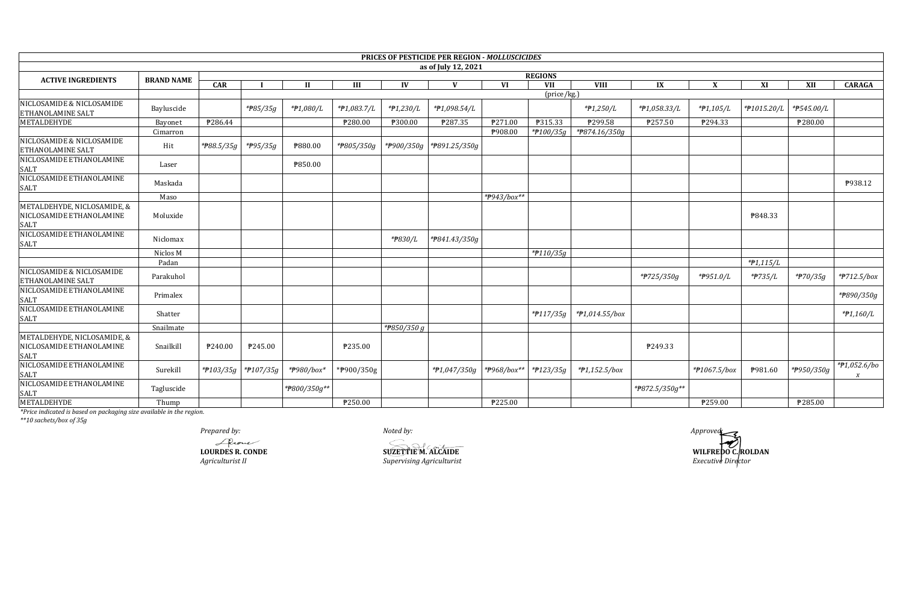|                                                                        |                   |                |                     |                |                |             | PRICES OF PESTICIDE PER REGION - MOLLUSCICIDES |             |                      |                 |                |              |             |            |                                  |
|------------------------------------------------------------------------|-------------------|----------------|---------------------|----------------|----------------|-------------|------------------------------------------------|-------------|----------------------|-----------------|----------------|--------------|-------------|------------|----------------------------------|
|                                                                        |                   |                |                     |                |                |             | as of July 12, 2021                            |             |                      |                 |                |              |             |            |                                  |
| <b>ACTIVE INGREDIENTS</b>                                              | <b>BRAND NAME</b> | <b>REGIONS</b> |                     |                |                |             |                                                |             |                      |                 |                |              |             |            |                                  |
|                                                                        |                   | CAR            |                     | $\mathbf{I}$   | III            | IV          |                                                | VI          | <b>VII</b>           | <b>VIII</b>     | IX             | X            | XI          | XII        | <b>CARAGA</b>                    |
| NICLOSAMIDE & NICLOSAMIDE<br>ETHANOLAMINE SALT                         | Bayluscide        |                | $*$ <b>P</b> 85/35g | *#1,080/L      | *#1,083.7/L    | $*P1,230/L$ | *#1,098.54/L                                   |             | $(\text{price/kg.})$ | *#1,250/L       | *#1,058.33/L   | $*P1,105/L$  | *#1015.20/L | *P545.00/L |                                  |
| METALDEHYDE                                                            | Bayonet           | P286.44        |                     |                | P280.00        | ₱300.00     | ₱287.35                                        | P271.00     | P315.33              | ₱299.58         | P257.50        | P294.33      |             | ₱280.00    |                                  |
| NICLOSAMIDE & NICLOSAMIDE<br>ETHANOLAMINE SALT                         | Cimarron<br>Hit   | *#88.5/35g     | *#95/35g            | <b>P880.00</b> | *P805/350g     | *#900/350g  | *P891.25/350g                                  | ₱908.00     | $*$ 100/35g          | *P874.16/350g   |                |              |             |            |                                  |
| NICLOSAMIDE ETHANOLAMINE                                               | Laser             |                |                     | <b>P850.00</b> |                |             |                                                |             |                      |                 |                |              |             |            |                                  |
| SALT<br>NICLOSAMIDE ETHANOLAMINE<br>SALT                               | Maskada           |                |                     |                |                |             |                                                |             |                      |                 |                |              |             |            | P938.12                          |
|                                                                        | Maso              |                |                     |                |                |             |                                                | *P943/box** |                      |                 |                |              |             |            |                                  |
| METALDEHYDE, NICLOSAMIDE, &<br>NICLOSAMIDE ETHANOLAMINE<br><b>SALT</b> | Moluxide          |                |                     |                |                |             |                                                |             |                      |                 |                |              | P848.33     |            |                                  |
| NICLOSAMIDE ETHANOLAMINE<br><b>SALT</b>                                | Niclomax          |                |                     |                |                | *P830/L     | *P841.43/350g                                  |             |                      |                 |                |              |             |            |                                  |
|                                                                        | Niclos M          |                |                     |                |                |             |                                                |             | $*$ P110/35g         |                 |                |              |             |            |                                  |
|                                                                        | Padan             |                |                     |                |                |             |                                                |             |                      |                 |                |              | $*P1,115/L$ |            |                                  |
| NICLOSAMIDE & NICLOSAMIDE<br>ETHANOLAMINE SALT                         | Parakuhol         |                |                     |                |                |             |                                                |             |                      |                 | *#725/350g     | *P951.0/L    | *#735/L     | *#70/35g   | *#712.5/box                      |
| NICLOSAMIDE ETHANOLAMINE<br><b>SALT</b>                                | Primalex          |                |                     |                |                |             |                                                |             |                      |                 |                |              |             |            | *#890/350g                       |
| NICLOSAMIDE ETHANOLAMINE<br>SALT                                       | Shatter           |                |                     |                |                |             |                                                |             | $*$ P117/35g         | *#1,014.55/box  |                |              |             |            | $*P1,160/L$                      |
|                                                                        | Snailmate         |                |                     |                |                | *P850/350 g |                                                |             |                      |                 |                |              |             |            |                                  |
| METALDEHYDE, NICLOSAMIDE, &<br>NICLOSAMIDE ETHANOLAMINE                | Snailkill         | P240.00        | P245.00             |                | <b>P235.00</b> |             |                                                |             |                      |                 | ₹249.33        |              |             |            |                                  |
| SALT<br>NICLOSAMIDE ETHANOLAMINE<br>SALT<br>NICLOSAMIDE ETHANOLAMINE   | Surekill          |                | *#103/35g *#107/35g | *P980/box*     | *P900/350g     |             | $*P1,047/350g$                                 | *#968/box** | *#123/35g            | $*P1,152.5/box$ |                | *#1067.5/box | P981.60     | *P950/350g | *#1,052.6/bo<br>$\boldsymbol{X}$ |
| <b>SALT</b>                                                            | Tagluscide        |                |                     | *P800/350g**   |                |             |                                                |             |                      |                 | *P872.5/350g** |              |             |            |                                  |
| <b>METALDEHYDE</b>                                                     | Thump             |                |                     |                | ₱250.00        |             |                                                | ₱225.00     |                      |                 |                | P259.00      |             | ₱285.00    |                                  |

*\*\*10 sachets/box of 35g*

*Prepared by: Noted by: Approved:* LOURDES R. CONDE

*Agriculturist II*<br>*Agriculturist II Supervising Agriculturist Supervising Agriculturist Executive Director Executive Director*